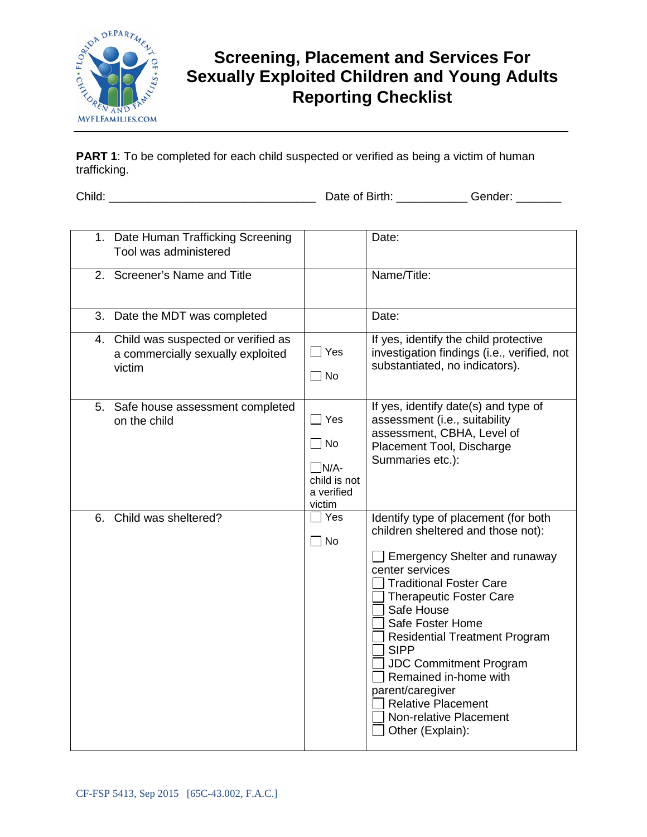

## **Screening, Placement and Services For Sexually Exploited Children and Young Adults Reporting Checklist**

**PART 1**: To be completed for each child suspected or verified as being a victim of human trafficking.

Child: \_\_\_\_\_\_\_\_\_\_\_\_\_\_\_\_\_\_\_\_\_\_\_\_\_\_\_\_\_\_\_\_ Date of Birth: \_\_\_\_\_\_\_\_\_\_\_ Gender: \_\_\_\_\_\_\_

| 1. Date Human Trafficking Screening<br>Tool was administered                         |                                                                                   | Date:                                                                                                                                                                                                                                                                                                                                                                                                                                                       |
|--------------------------------------------------------------------------------------|-----------------------------------------------------------------------------------|-------------------------------------------------------------------------------------------------------------------------------------------------------------------------------------------------------------------------------------------------------------------------------------------------------------------------------------------------------------------------------------------------------------------------------------------------------------|
| 2. Screener's Name and Title                                                         |                                                                                   | Name/Title:                                                                                                                                                                                                                                                                                                                                                                                                                                                 |
| 3. Date the MDT was completed                                                        |                                                                                   | Date:                                                                                                                                                                                                                                                                                                                                                                                                                                                       |
| 4. Child was suspected or verified as<br>a commercially sexually exploited<br>victim | $\sqsupset$ Yes<br>$\Box$ No                                                      | If yes, identify the child protective<br>investigation findings (i.e., verified, not<br>substantiated, no indicators).                                                                                                                                                                                                                                                                                                                                      |
| 5. Safe house assessment completed<br>on the child                                   | $\Box$ Yes<br>$\sqcap$ No<br>$\neg N/A$ -<br>child is not<br>a verified<br>victim | If yes, identify date(s) and type of<br>assessment (i.e., suitability<br>assessment, CBHA, Level of<br>Placement Tool, Discharge<br>Summaries etc.):                                                                                                                                                                                                                                                                                                        |
| Child was sheltered?<br>6.                                                           | 7 Yes<br>$\Box$ No                                                                | Identify type of placement (for both<br>children sheltered and those not):<br><b>Emergency Shelter and runaway</b><br>center services<br><b>Traditional Foster Care</b><br><b>Therapeutic Foster Care</b><br>Safe House<br>Safe Foster Home<br><b>Residential Treatment Program</b><br><b>SIPP</b><br><b>JDC Commitment Program</b><br>Remained in-home with<br>parent/caregiver<br><b>Relative Placement</b><br>Non-relative Placement<br>Other (Explain): |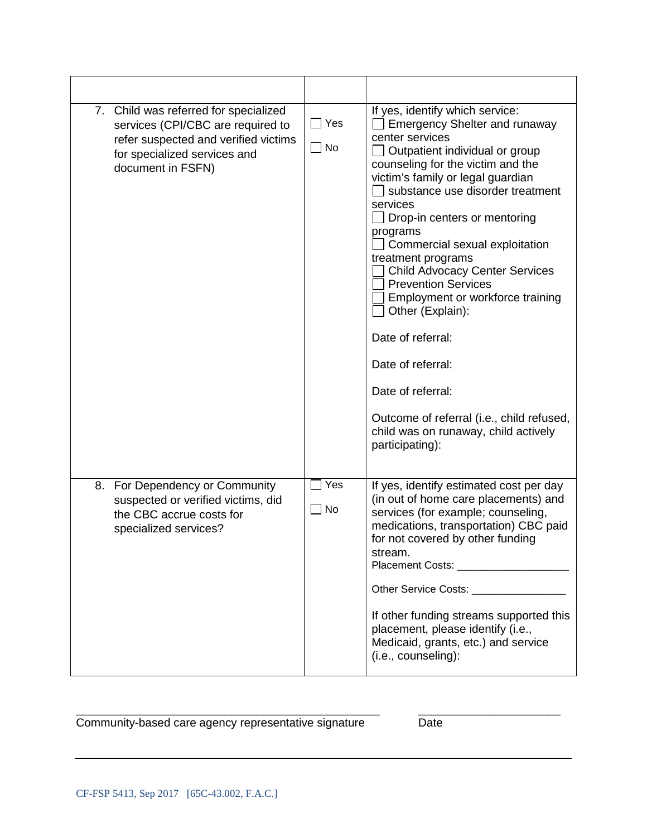| 7. Child was referred for specialized<br>services (CPI/CBC are required to<br>refer suspected and verified victims<br>for specialized services and<br>document in FSFN) | $\Box$ Yes<br>$\Box$ No | If yes, identify which service:<br><b>Emergency Shelter and runaway</b><br>center services<br>Outpatient individual or group<br>counseling for the victim and the<br>victim's family or legal guardian<br>substance use disorder treatment<br>services<br>Drop-in centers or mentoring<br>programs<br>Commercial sexual exploitation<br>treatment programs<br><b>Child Advocacy Center Services</b><br><b>Prevention Services</b><br>Employment or workforce training<br>Other (Explain):<br>Date of referral:<br>Date of referral:<br>Date of referral:<br>Outcome of referral (i.e., child refused,<br>child was on runaway, child actively<br>participating): |
|-------------------------------------------------------------------------------------------------------------------------------------------------------------------------|-------------------------|------------------------------------------------------------------------------------------------------------------------------------------------------------------------------------------------------------------------------------------------------------------------------------------------------------------------------------------------------------------------------------------------------------------------------------------------------------------------------------------------------------------------------------------------------------------------------------------------------------------------------------------------------------------|
| 8. For Dependency or Community<br>suspected or verified victims, did<br>the CBC accrue costs for<br>specialized services?                                               | Yes<br>$\Box$ No        | If yes, identify estimated cost per day<br>(in out of home care placements) and<br>services (for example; counseling,<br>medications, transportation) CBC paid<br>for not covered by other funding<br>stream.<br>Placement Costs: Note that the state of the state of the state of the state of the state of the state of the state of the state of the state of the state of the state of the state of the state of the state of the state of<br>Other Service Costs: __________________<br>If other funding streams supported this<br>placement, please identify (i.e.,<br>Medicaid, grants, etc.) and service<br>(i.e., counseling):                          |

## Community-based care agency representative signature **Date**

\_\_\_\_\_\_\_\_\_\_\_\_\_\_\_\_\_\_\_\_\_\_\_\_\_\_\_\_\_\_\_\_\_\_\_\_\_\_\_\_\_\_\_\_\_\_\_ \_\_\_\_\_\_\_\_\_\_\_\_\_\_\_\_\_\_\_\_\_\_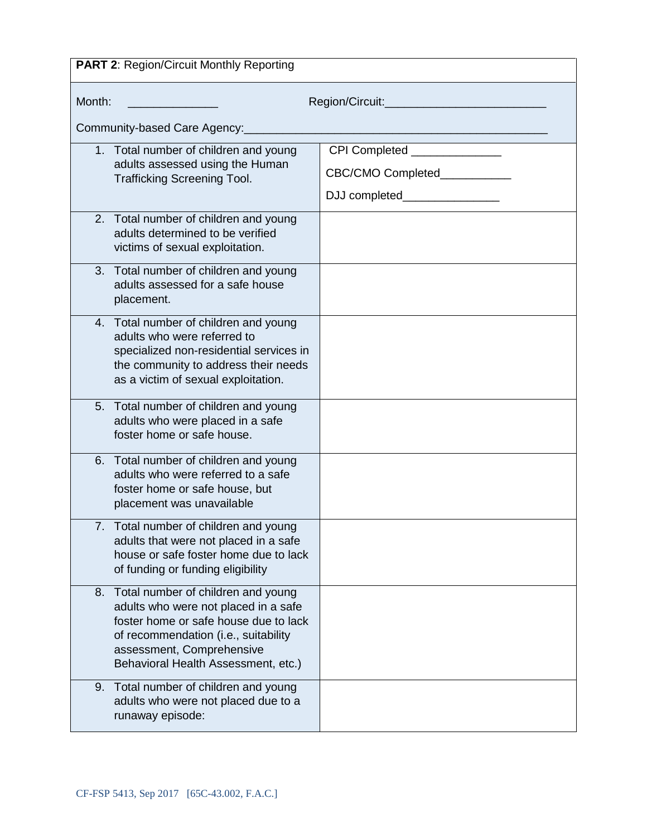| <b>PART 2: Region/Circuit Monthly Reporting</b>                                                                                                                                                                                    |                                |  |
|------------------------------------------------------------------------------------------------------------------------------------------------------------------------------------------------------------------------------------|--------------------------------|--|
| Month:<br>Region/Circuit:_________________________                                                                                                                                                                                 |                                |  |
| Community-based Care Agency:                                                                                                                                                                                                       |                                |  |
| 1. Total number of children and young<br>adults assessed using the Human                                                                                                                                                           | CPI Completed ______________   |  |
| <b>Trafficking Screening Tool.</b>                                                                                                                                                                                                 | CBC/CMO Completed___________   |  |
|                                                                                                                                                                                                                                    | DJJ completed_________________ |  |
| 2. Total number of children and young<br>adults determined to be verified<br>victims of sexual exploitation.                                                                                                                       |                                |  |
| 3. Total number of children and young<br>adults assessed for a safe house<br>placement.                                                                                                                                            |                                |  |
| 4. Total number of children and young<br>adults who were referred to<br>specialized non-residential services in<br>the community to address their needs<br>as a victim of sexual exploitation.                                     |                                |  |
| 5. Total number of children and young<br>adults who were placed in a safe<br>foster home or safe house.                                                                                                                            |                                |  |
| 6. Total number of children and young<br>adults who were referred to a safe<br>foster home or safe house, but<br>placement was unavailable                                                                                         |                                |  |
| 7. Total number of children and young<br>adults that were not placed in a safe<br>house or safe foster home due to lack<br>of funding or funding eligibility                                                                       |                                |  |
| 8. Total number of children and young<br>adults who were not placed in a safe<br>foster home or safe house due to lack<br>of recommendation (i.e., suitability<br>assessment, Comprehensive<br>Behavioral Health Assessment, etc.) |                                |  |
| 9. Total number of children and young<br>adults who were not placed due to a<br>runaway episode:                                                                                                                                   |                                |  |